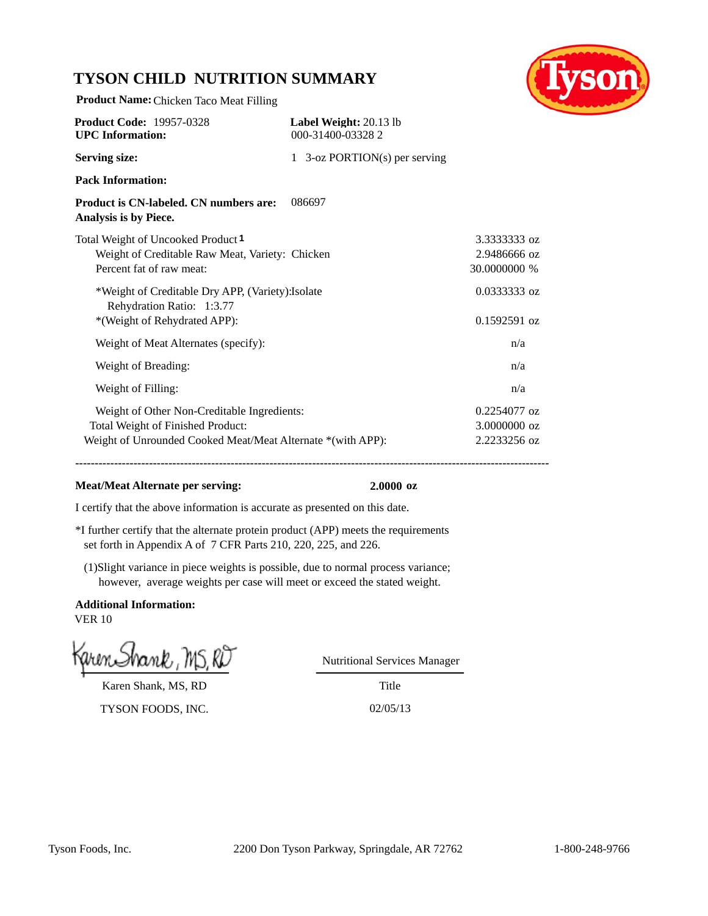# **TYSON CHILD NUTRITION SUMMARY**

**Product Name:**Chicken Taco Meat Filling



| <b>Product Code: 19957-0328</b><br><b>UPC</b> Information:                                                                                      | Label Weight: 20.13 lb<br>000-31400-033282 |                                              |
|-------------------------------------------------------------------------------------------------------------------------------------------------|--------------------------------------------|----------------------------------------------|
| <b>Serving size:</b>                                                                                                                            | 1 3-oz PORTION(s) per serving              |                                              |
| <b>Pack Information:</b>                                                                                                                        |                                            |                                              |
| Product is CN-labeled. CN numbers are:<br>Analysis is by Piece.                                                                                 | 086697                                     |                                              |
| Total Weight of Uncooked Product <sup>1</sup><br>Weight of Creditable Raw Meat, Variety: Chicken<br>Percent fat of raw meat:                    |                                            | 3.3333333 oz<br>2.9486666 oz<br>30.0000000 % |
| *Weight of Creditable Dry APP, (Variety): Isolate<br>Rehydration Ratio: 1:3.77<br>*(Weight of Rehydrated APP):                                  |                                            | 0.0333333 oz<br>$0.1592591$ oz               |
| Weight of Meat Alternates (specify):                                                                                                            |                                            | n/a                                          |
| Weight of Breading:                                                                                                                             |                                            | n/a                                          |
| Weight of Filling:                                                                                                                              |                                            | n/a                                          |
| Weight of Other Non-Creditable Ingredients:<br>Total Weight of Finished Product:<br>Weight of Unrounded Cooked Meat/Meat Alternate *(with APP): |                                            | 0.2254077 oz<br>3.0000000 oz<br>2.2233256 oz |

#### **Meat/Meat Alternate per serving: 2.0000 oz**

**--------------------------------------------------------------------------------------------------------------------------**

I certify that the above information is accurate as presented on this date.

- \*I further certify that the alternate protein product (APP) meets the requirements set forth in Appendix A of 7 CFR Parts 210, 220, 225, and 226.
- (1)Slight variance in piece weights is possible, due to normal process variance; however, average weights per case will meet or exceed the stated weight.

**Additional Information:** VER 10

Karen Shank, MS, RD

TYSON FOODS, INC. 02/05/13

Nutritional Services Manager

Title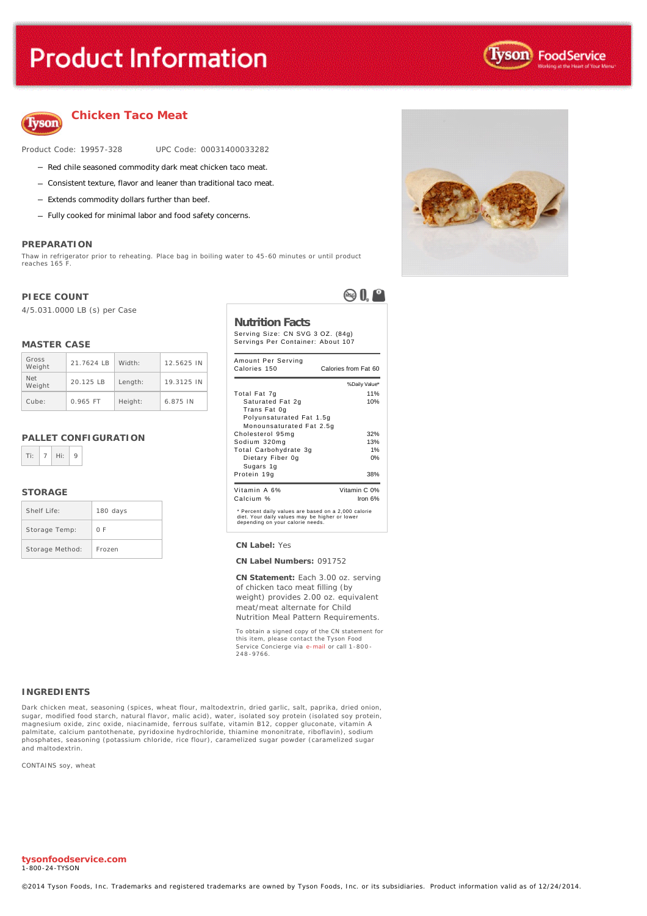# **Product Information**





### **Chicken Taco Meat**

Product Code: 19957-328 UPC Code: 00031400033282

- Red chile seasoned commodity dark meat chicken taco meat.
- Consistent texture, flavor and leaner than traditional taco meat.
- Extends commodity dollars further than beef.
- Fully cooked for minimal labor and food safety concerns.

#### **PREPARATION**

Thaw in refrigerator prior to reheating. Place bag in boiling water to 45-60 minutes or until product reaches 165

#### **PIECE COUNT**

4/5.031.0000 LB (s) per Case

#### **MASTER CASE**

| Gross<br>Weight      | 21.7624 IB | Width:  | 12.5625 IN |
|----------------------|------------|---------|------------|
| <b>Net</b><br>Weight | 20.125 IB  | Length: | 19.3125 IN |
| Cube:                | $0.965$ FT | Height: | 6.875 IN   |

#### **PALLET CONFIGURATION**



#### **STORAGE**

| Shelf Life:     | 180 days |
|-----------------|----------|
| Storage Temp:   | 0 F      |
| Storage Method: | Frozen   |



### **Nutrition Facts**

Serving Size: CN SVG 3 OZ. (84g) Servings Per Container: About 107

| Amount Per Serving<br>Calories 150                                                                                                        | Calories from Fat 60 |
|-------------------------------------------------------------------------------------------------------------------------------------------|----------------------|
|                                                                                                                                           | % Daily Value*       |
| Total Fat 7g                                                                                                                              | 11%                  |
| Saturated Fat 2g                                                                                                                          | 10%                  |
| Trans Fat 0g                                                                                                                              |                      |
| Polyunsaturated Fat 1.5g                                                                                                                  |                      |
| Monounsaturated Fat 2.5q                                                                                                                  |                      |
| Cholesterol 95mg                                                                                                                          | 32%                  |
| Sodium 320mg                                                                                                                              | 13%                  |
| Total Carbohydrate 3g                                                                                                                     | 1%                   |
| Dietary Fiber 0g                                                                                                                          | 0%                   |
| Sugars 1g                                                                                                                                 |                      |
| Protein 19g                                                                                                                               | 38%                  |
| Vitamin A 6%                                                                                                                              | Vitamin C 0%         |
| Calcium %                                                                                                                                 | Iron $6%$            |
| * Percent daily values are based on a 2,000 calorie<br>diet. Your daily values may be higher or lower<br>depending on your calorie needs. |                      |

#### Storage Method: Frozen **CN Label:** Yes

**CN Label Numbers:** 091752

**CN Statement:** Each 3.00 oz. serving of chicken taco meat filling (by weight) provides 2.00 oz. equivalent meat/meat alternate for Child Nutrition Meal Pattern Requirements.

To obtain a signed copy of the CN statement for this item, please contact the Tyson Food Service Concierge via [e-mail](mailto:fscomments@tyson.com) or call 1-800 - 361 VICO 02.

#### **INGREDIENTS**

Dark chicken meat, seasoning (spices, wheat flour, maltodextrin, dried garlic, salt, paprika, dried onion, sugar, modified food starch, natural flavor, malic acid), water, isolated soy protein (isolated soy protein, magnesium oxide, zinc oxide, niacinamide, ferrous sulfate, vitamin B12, copper gluconate, vitamin A palmitate, calcium pantothenate, pyridoxine hydrochloride, thiamine mononitrate, riboflavin), sodium phosphates, seasoning (potassium chloride, rice flour), caramelized sugar powder (caramelized sugar and maltodextrin.

CONTAINS soy, wheat

**tysonfoodservice.com** 1-800-24-TYSON

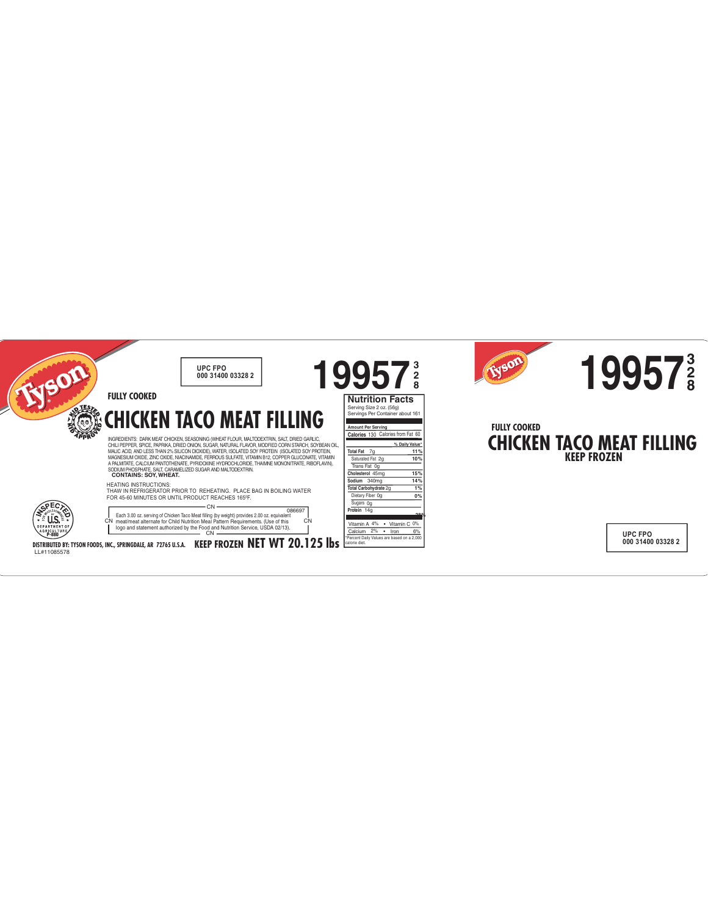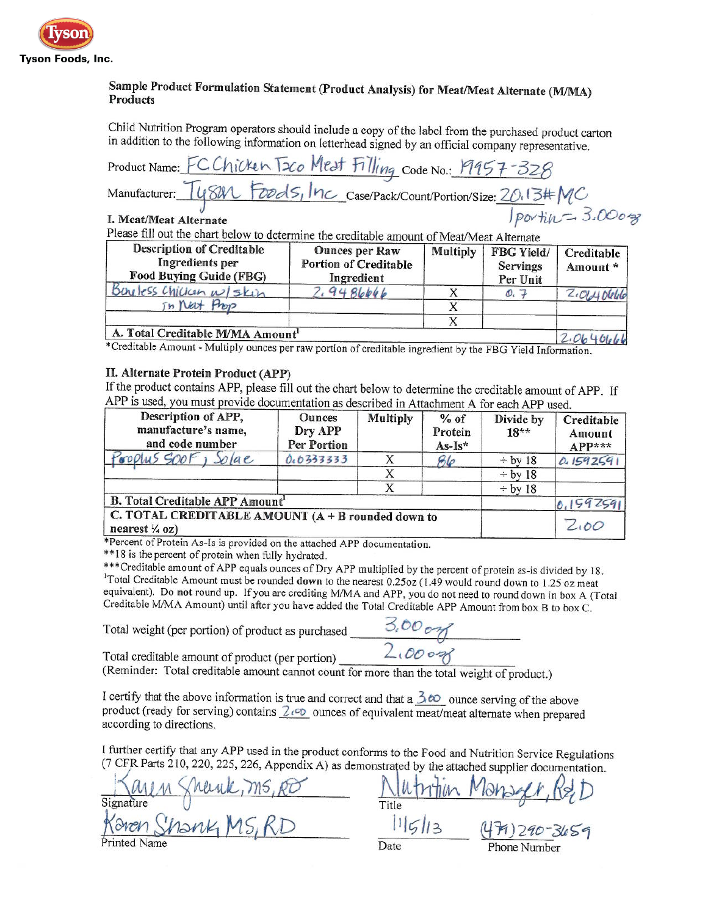

## Sample Product Formulation Statement (Product Analysis) for Meat/Meat Alternate (M/MA) **Products**

Child Nutrition Program operators should include a copy of the label from the purchased product carton in addition to the following information on letterhead signed by an official company representative.

| Product Name: FC Chicken T2co Mest Filling Code No.: 19957-328                            |                   |
|-------------------------------------------------------------------------------------------|-------------------|
| Manufacturer: Ty841 Foods, Inc Case/Pack/Count/Portion/Size: 20.13#MC                     |                   |
| I. Meat/Meat Alternate                                                                    | Jportin = 3.00028 |
| Please fill out the chart below to determine the creditable amount of Meat/Meat Alternate |                   |

the creditable amount of Meat/Meat Alternate

| <b>Description of Creditable</b><br>Ingredients per<br>Food Buying Guide (FBG) | <b>Ounces per Raw</b><br><b>Portion of Creditable</b><br>Ingredient | <b>Multiply</b> | FBG Yield/<br><b>Servings</b><br>Per Unit | Creditable<br>Amount * |
|--------------------------------------------------------------------------------|---------------------------------------------------------------------|-----------------|-------------------------------------------|------------------------|
| Bureless Chicican w/skin                                                       | 9486666                                                             |                 | $\mathcal{O}_{\epsilon}$                  | $2.0140$ lelelel       |
| in Neut                                                                        |                                                                     |                 |                                           |                        |
|                                                                                |                                                                     |                 |                                           |                        |
| A. Total Creditable M/MA Amount <sup>1</sup>                                   |                                                                     |                 |                                           | 2.064066               |

\*Creditable Amount - Multiply ounces per raw portion of creditable ingredient by the FBG Yield Information.

#### II. Alternate Protein Product (APP)

If the product contains APP, please fill out the chart below to determine the creditable amount of APP. If APP is used, you must provide documentation as described in Attachment A for each APP used.

| Description of APP,<br>manufacture's name,<br>and code number                  | <b>Ounces</b><br>Dry APP<br><b>Per Portion</b> | <b>Multiply</b> | $%$ of<br>Protein<br>$As-Is*$ | Divide by<br>$18**$ | Creditable<br>Amount<br>$APP***$ |
|--------------------------------------------------------------------------------|------------------------------------------------|-----------------|-------------------------------|---------------------|----------------------------------|
| Prophes SOOF, Solae                                                            | 0.0333333                                      |                 | Ble                           | $\div$ by 18        | 0.1592591                        |
|                                                                                |                                                |                 |                               | $\div$ by 18        |                                  |
|                                                                                |                                                |                 |                               | $\div$ by 18        |                                  |
| <b>B. Total Creditable APP Amount'</b>                                         |                                                |                 |                               |                     | 0.1592591                        |
| C. TOTAL CREDITABLE AMOUNT (A + B rounded down to<br>nearest $\frac{1}{4}$ oz) |                                                |                 |                               |                     | 2.00                             |

\*Percent of Protein As-Is is provided on the attached APP documentation.

\*\* 18 is the percent of protein when fully hydrated.

\*\*\* Creditable amount of APP equals ounces of Dry APP multiplied by the percent of protein as-is divided by 18. <sup>1</sup>Total Creditable Amount must be rounded down to the nearest 0.25oz (1.49 would round down to 1.25 oz meat equivalent). Do not round up. If you are crediting M/MA and APP, you do not need to round down in box A (Total Creditable M/MA Amount) until after you have added the Total Creditable APP Amount from box B to box C.

Total weight (per portion) of product as purchased

 $3.00000$ 

Total creditable amount of product (per portion) (Reminder: Total creditable amount cannot count for more than the total weight of product.)

I certify that the above information is true and correct and that a  $\frac{\lambda}{\omega}$  ounce serving of the above product (ready for serving) contains  $2\sqrt{2}$  ounces of equivalent meat/meat alternate when prepared according to directions.

I further certify that any APP used in the product conforms to the Food and Nutrition Service Regulations (7 CFR Parts 210, 220, 225, 226, Appendix A) as demonstrated by the attached supplier documentation.

Sherak, MS, RD Title 11/5/13 (479)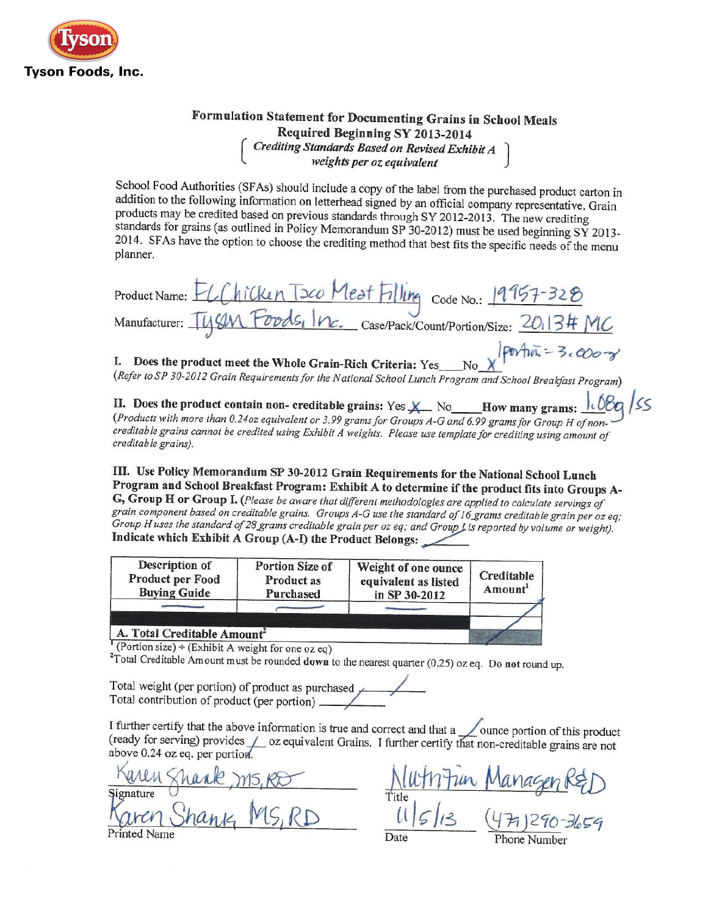

# Formulation Statement for Documenting Grains in School Meals Required Beginning SY 2013-2014<br>Crediting Standards Based on Revised Exhibit A<br>weights per oz equivalent

School Food Authorities (SFAs) should include a copy of the label from the purchased product carton in addition to the following information on letterhead signed by an official company representative. Grain products may be credited based on previous standards through SY 2012-2013. The new crediting standards for grains (as outlined in Policy Memorandum SP 30-2012) must be used beginning SY 2013-2014. SFAs have the option to choose the crediting method that best fits the specific needs of the menu planner.

| Product Name: ELChicken T2co Mest Filling Code No.: 19957-328        |                |
|----------------------------------------------------------------------|----------------|
| Manufacturer: Tysm Foods, Inc. case/Pack/Count/Portion/Size: 2013#MC |                |
|                                                                      | $lanAn = 3, a$ |

I. Does the product meet the Whole Grain-Rich Criteria: Yes\_\_No  $\chi$ (Refer to SP 30-2012 Grain Requirements for the National School Lunch Program and School Breakfast Program)

II. Does the product contain non- creditable grains: Yes  $X$  No How many grams:  $\frac{1000}{1000}$  (Products with more than 0.240z equivalent or 3.99 grams for Groups A-G and 6.99 grams for Group H of noncreditable grains cannot be credited using Exhibit A weights. Please use template for crediting using amount of creditable grains).

III. Use Policy Memorandum SP 30-2012 Grain Requirements for the National School Lunch Program and School Breakfast Program: Exhibit A to determine if the product fits into Groups A-G, Group H or Group I. (Please be aware that different methodologies are applied to calculate servings of grain component based on creditable grains. Groups A-G use the standard of 16 grams creditable grain per oz eq; Group H uses the standard of 28 grams creditable grain per oz eq; and Group Lis reported by volume or weight). Indicate which Exhibit A Group (A-I) the Product Belongs:

| Creditable<br>Amount <sup>1</sup> |
|-----------------------------------|
|                                   |
|                                   |

(Portion size)  $\div$  (Exhibit A weight for one oz eq)

<sup>2</sup>Total Creditable Amount must be rounded down to the nearest quarter (0.25) oz eq. Do not round up.

Total weight (per portion) of product as purchased 

I further certify that the above information is true and correct and that a <u>section</u> of this product (ready for serving) provides  $\angle$  oz equivalent Grains. I further certify that non-creditable grains are not above 0.24 oz eq. per portion.

<u>nagen R&D</u><br>i 1290-3659